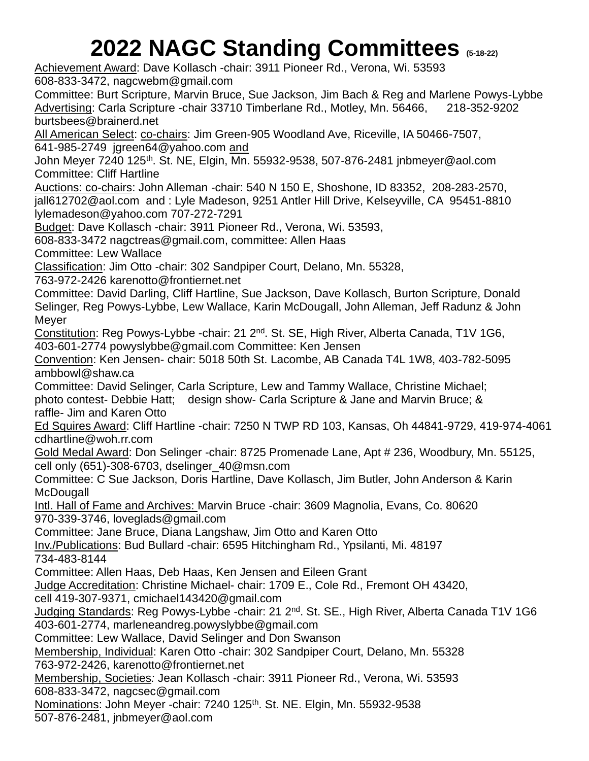## **2022 NAGC Standing Committees (5-18-22)**

Achievement Award: Dave Kollasch -chair: 3911 Pioneer Rd., Verona, Wi. 53593 608-833-3472, [nagcwebm@gmail.com](mailto:nagcwebm@gmail.com)

Committee: Burt Scripture, Marvin Bruce, Sue Jackson, Jim Bach & Reg and Marlene Powys-Lybbe Advertising: Carla Scripture -chair 33710 Timberlane Rd., Motley, Mn. 56466, 218-352-9202 [burtsbees@brainerd.net](mailto:burtsbees@brainerd.net)

All American Select: co-chairs: Jim Green-905 Woodland Ave, Riceville, IA 50466-7507, 641-985-2749 jgreen64@yahoo.com and

John Meyer 7240 125th. St. NE, Elgin, Mn. 55932-9538, 507-876-2481 [jnbmeyer@aol.com](mailto:jnbmeyer@aol.com) Committee: Cliff Hartline

Auctions: co-chairs: John Alleman -chair: 540 N 150 E, Shoshone, ID 83352,208-283-2570, [jall612702@aol.com](mailto:jall612702@aol.com) and : Lyle Madeson, 9251 Antler Hill Drive, Kelseyville, CA 95451-8810 [lylemadeson@yahoo.com](mailto:lylemadeson@yahoo.com) 707-272-7291

Budget: Dave Kollasch -chair: 3911 Pioneer Rd., Verona, Wi. 53593,

608-833-3472 [nagctreas@gmail.com,](mailto:nagctreas@gmail.com) committee: Allen Haas

Committee: Lew Wallace

Classification: Jim Otto -chair: 302 Sandpiper Court, Delano, Mn. 55328,

763-972-2426 [karenotto@frontiernet.net](mailto:karenotto@frontiernet.net)

Committee: David Darling, Cliff Hartline, Sue Jackson, Dave Kollasch, Burton Scripture, Donald Selinger, Reg Powys-Lybbe, Lew Wallace, Karin McDougall, John Alleman, Jeff Radunz & John Meyer

Constitution: Reg Powys-Lybbe -chair: 21 2nd. St. SE, High River, Alberta Canada, T1V 1G6, 403-601-2774 [powyslybbe@gmail.com](mailto:powyslybbe@gmail.com) Committee: Ken Jensen

Convention: Ken Jensen- chair: 5018 50th St. Lacombe, AB Canada T4L 1W8, 403-782-5095 ambbowl@shaw.ca

Committee: David Selinger, Carla Scripture, Lew and Tammy Wallace, Christine Michael; photo contest- Debbie Hatt; design show- Carla Scripture & Jane and Marvin Bruce; & raffle- Jim and Karen Otto

Ed Squires Award: Cliff Hartline -chair: 7250 N TWP RD 103, Kansas, Oh 44841-9729, 419-974-4061 cdhartline@woh.rr.com

Gold Medal Award: Don Selinger -chair: 8725 Promenade Lane, Apt # 236, Woodbury, Mn. 55125, cell only (651)-308-6703, [dselinger\\_40@msn.com](mailto:dselinger_40@msn.com)

Committee: C Sue Jackson, Doris Hartline, Dave Kollasch, Jim Butler, John Anderson & Karin **McDougall** 

Intl. Hall of Fame and Archives: Marvin Bruce -chair: 3609 Magnolia, Evans, Co. 80620 970-339-3746, [loveglads@gmail.](mailto:loveglads@gmail)com

Committee: Jane Bruce, Diana Langshaw, Jim Otto and Karen Otto

Inv./Publications: Bud Bullard -chair: 6595 Hitchingham Rd., Ypsilanti, Mi. 48197 734-483-8144

Committee: Allen Haas, Deb Haas, Ken Jensen and Eileen Grant

Judge Accreditation: Christine Michael- chair: 1709 E., Cole Rd., Fremont OH 43420,

cell 419-307-9371, cmichael143420@gmail.com

Judging Standards: Reg Powys-Lybbe -chair: 21 2<sup>nd</sup>. St. SE., High River, Alberta Canada T1V 1G6

403-601-2774, [marleneandreg.powyslybbe@gmail.com](mailto:marleneandreg.powyslybbe@gmail.com)

Committee: Lew Wallace, David Selinger and Don Swanson

Membership, Individual: Karen Otto -chair: 302 Sandpiper Court, Delano, Mn. 55328 763-972-2426, [karenotto@frontiernet.net](mailto:karenotto@frontiernet.net)

Membership, Societies*:* Jean Kollasch -chair: 3911 Pioneer Rd., Verona, Wi. 53593

608-833-3472, [nagcsec@gmail.com](mailto:nagcsec@gmail.com)

Nominations: John Meyer -chair: 7240 125<sup>th</sup>. St. NE. Elgin, Mn. 55932-9538 507-876-2481, [jnbmeyer@aol.com](mailto:jnbmeyer@aol.com)